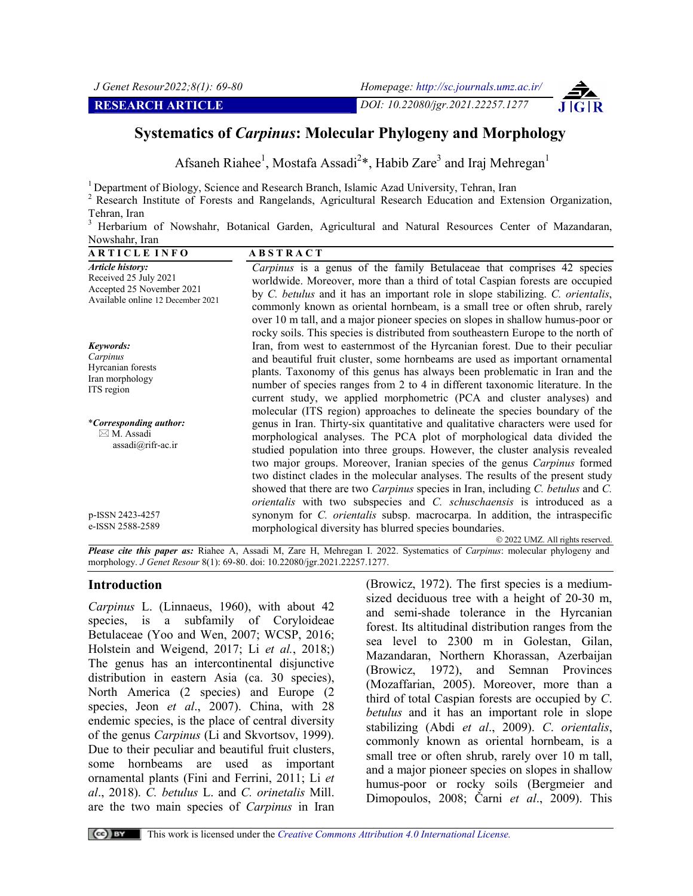# **Systematics of** *Carpinus***: Molecular Phylogeny and Morphology**

Afsaneh Riahee<sup>1</sup>, Mostafa Assadi<sup>2\*</sup>, Habib Zare<sup>3</sup> and Iraj Mehregan<sup>1</sup>

<sup>1</sup> Department of Biology, Science and Research Branch, Islamic Azad University, Tehran, Iran

<sup>2</sup> Research Institute of Forests and Rangelands, Agricultural Research Education and Extension Organization, Tehran, Iran

<sup>3</sup> Herbarium of Nowshahr, Botanical Garden, Agricultural and Natural Resources Center of Mazandaran, Nowshahr, Iran

| <b>ARTICLE INFO</b>                                                                                         | <b>ABSTRACT</b>                                                                                                                                                                                                                                                                                                                                                                                                                                                                                                                                                                                   |
|-------------------------------------------------------------------------------------------------------------|---------------------------------------------------------------------------------------------------------------------------------------------------------------------------------------------------------------------------------------------------------------------------------------------------------------------------------------------------------------------------------------------------------------------------------------------------------------------------------------------------------------------------------------------------------------------------------------------------|
| Article history:<br>Received 25 July 2021<br>Accepted 25 November 2021<br>Available online 12 December 2021 | <i>Carpinus</i> is a genus of the family Betulaceae that comprises 42 species<br>worldwide. Moreover, more than a third of total Caspian forests are occupied<br>by C. betulus and it has an important role in slope stabilizing. C. orientalis,<br>commonly known as oriental hornbeam, is a small tree or often shrub, rarely<br>over 10 m tall, and a major pioneer species on slopes in shallow humus-poor or<br>rocky soils. This species is distributed from southeastern Europe to the north of                                                                                            |
| Keywords:<br>Carpinus<br>Hyrcanian forests<br>Iran morphology<br>ITS region                                 | Iran, from west to easternmost of the Hyrcanian forest. Due to their peculiar<br>and beautiful fruit cluster, some hornbeams are used as important ornamental<br>plants. Taxonomy of this genus has always been problematic in Iran and the<br>number of species ranges from 2 to 4 in different taxonomic literature. In the<br>current study, we applied morphometric (PCA and cluster analyses) and<br>molecular (ITS region) approaches to delineate the species boundary of the                                                                                                              |
| <i>*Corresponding author:</i><br>$\boxtimes$ M. Assadi<br>assadi@rifr-ac.ir                                 | genus in Iran. Thirty-six quantitative and qualitative characters were used for<br>morphological analyses. The PCA plot of morphological data divided the<br>studied population into three groups. However, the cluster analysis revealed<br>two major groups. Moreover, Iranian species of the genus <i>Carpinus</i> formed<br>two distinct clades in the molecular analyses. The results of the present study<br>showed that there are two <i>Carpinus</i> species in Iran, including <i>C. betulus</i> and <i>C.</i><br>orientalis with two subspecies and C. schuschaensis is introduced as a |
| p-ISSN 2423-4257<br>e-ISSN 2588-2589                                                                        | synonym for <i>C. orientalis</i> subsp. macrocarpa. In addition, the intraspecific<br>morphological diversity has blurred species boundaries.<br>© 2022 UMZ. All rights reserved.                                                                                                                                                                                                                                                                                                                                                                                                                 |

*Please cite this paper as:* Riahee A, Assadi M, Zare H, Mehregan I. 2022. Systematics of *Carpinus*: molecular phylogeny and morphology. *J Genet Resour* 8(1): 69-80. doi: 10.22080/jgr.2021.22257.1277.

# **Introduction**

*Carpinus* L. (Linnaeus, 1960), with about 42 species, is a subfamily of Coryloideae Betulaceae (Yoo and Wen, 2007; WCSP, 2016; Holstein and Weigend, 2017; Li *et al.*, 2018;) The genus has an intercontinental disjunctive distribution in eastern Asia (ca. 30 species), North America (2 species) and Europe (2 species, Jeon *et al*., 2007). China, with 28 endemic species, is the place of central diversity of the genus *Carpinus* (Li and Skvortsov, 1999). Due to their peculiar and beautiful fruit clusters, some hornbeams are used as important ornamental plants (Fini and Ferrini, 2011; Li *et al*., 2018). *C. betulus* L. and *C. orinetalis* Mill. are the two main species of *Carpinus* in Iran

(Browicz, 1972). The first species is a mediumsized deciduous tree with a height of 20-30 m, and semi-shade tolerance in the Hyrcanian forest. Its altitudinal distribution ranges from the sea level to 2300 m in Golestan, Gilan, Mazandaran, Northern Khorassan, Azerbaijan (Browicz, 1972), and Semnan Provinces (Mozaffarian, 2005). Moreover, more than a third of total Caspian forests are occupied by *C*. *betulus* and it has an important role in slope stabilizing (Abdi *et al*., 2009). *C*. *orientalis*, commonly known as oriental hornbeam, is a small tree or often shrub, rarely over 10 m tall, and a major pioneer species on slopes in shallow humus-poor or rocky soils (Bergmeier and Dimopoulos, 2008; Čarni *et al*., 2009). This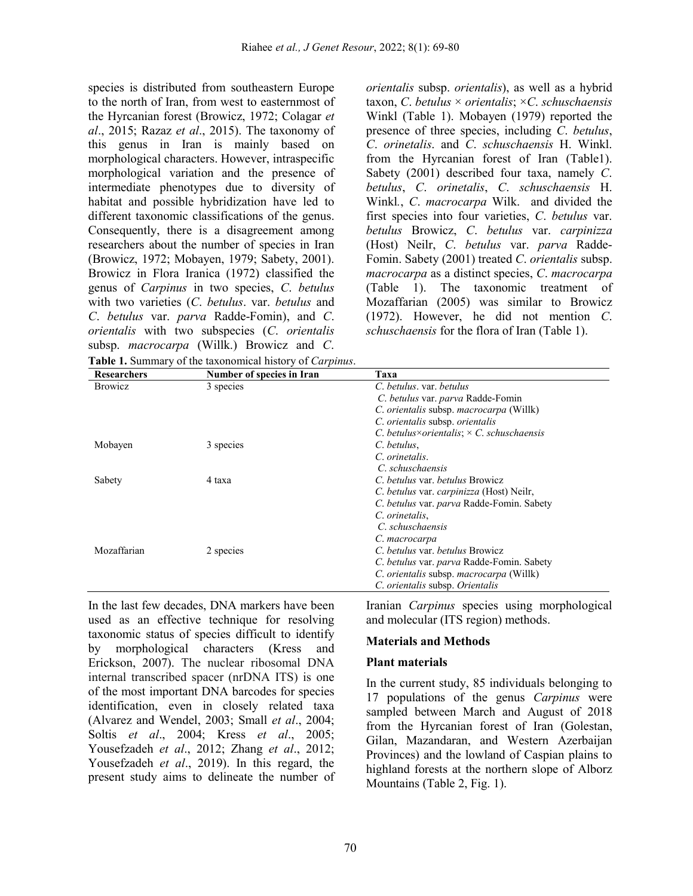species is distributed from southeastern Europe to the north of Iran, from west to easternmost of the Hyrcanian forest (Browicz, 1972; Colagar *et al*., 2015; Razaz *et al*., 2015). The taxonomy of this genus in Iran is mainly based on morphological characters. However, intraspecific morphological variation and the presence of intermediate phenotypes due to diversity of habitat and possible hybridization have led to different taxonomic classifications of the genus. Consequently, there is a disagreement among researchers about the number of species in Iran (Browicz, 1972; Mobayen, 1979; Sabety, 2001). Browicz in Flora Iranica (1972) classified the genus of *Carpinus* in two species, *C*. *betulus* with two varieties (*C*. *betulus*. var. *betulus* and *C*. *betulus* var. *parva* Radde-Fomin), and *C*. *orientalis* with two subspecies (*C*. *orientalis* subsp. *macrocarpa* (Willk.) Browicz and *C*.

*orientalis* subsp. *orientalis*), as well as a hybrid taxon, *C*. *betulus* × *orientalis*; ×*C*. *schuschaensis* Winkl (Table 1). Mobayen (1979) reported the presence of three species, including *C*. *betulus*, *C*. *orinetalis*. and *C*. *schuschaensis* H. Winkl. from the Hyrcanian forest of Iran (Table1). Sabety (2001) described four taxa, namely *C*. *betulus*, *C*. *orinetalis*, *C*. *schuschaensis* H. Winkl*.*, *C*. *macrocarpa* Wilk. and divided the first species into four varieties, *C*. *betulus* var. *betulus* Browicz, *C*. *betulus* var. *carpinizza* (Host) Neilr, *C*. *betulus* var. *parva* Radde-Fomin. Sabety (2001) treated *C*. *orientalis* subsp. *macrocarpa* as a distinct species, *C*. *macrocarpa*  (Table 1). The taxonomic treatment of Mozaffarian (2005) was similar to Browicz (1972). However, he did not mention *C*. *schuschaensis* for the flora of Iran (Table 1).

| <b>Researchers</b> | Number of species in Iran | Taxa                                             |
|--------------------|---------------------------|--------------------------------------------------|
| <b>Browicz</b>     | 3 species                 | C. betulus. var. betulus                         |
|                    |                           | C. betulus var. parva Radde-Fomin                |
|                    |                           | C. orientalis subsp. macrocarpa (Willk)          |
|                    |                           | C. orientalis subsp. orientalis                  |
|                    |                           | C. betulus×orientalis; $\times$ C. schuschaensis |
| Mobayen            | 3 species                 | C. betulus.                                      |
|                    |                           | C. orinetalis.                                   |
|                    |                           | C. schuschaensis                                 |
| Sabety             | 4 taxa                    | C. betulus var. betulus Browicz                  |
|                    |                           | C. betulus var. carpinizza (Host) Neilr,         |
|                    |                           | C. betulus var. parva Radde-Fomin. Sabety        |
|                    |                           | C. orinetalis.                                   |
|                    |                           | C. schuschaensis                                 |
|                    |                           | C. macrocarpa                                    |
| Mozaffarian        | 2 species                 | C. betulus var. betulus Browicz                  |
|                    |                           | C. betulus var. parva Radde-Fomin. Sabety        |
|                    |                           | C. orientalis subsp. macrocarpa (Willk)          |
|                    |                           | C. orientalis subsp. Orientalis                  |

In the last few decades, DNA markers have been used as an effective technique for resolving taxonomic status of species difficult to identify by morphological characters (Kress and Erickson, 2007). The nuclear ribosomal DNA internal transcribed spacer (nrDNA ITS) is one of the most important DNA barcodes for species identification, even in closely related taxa (Alvarez and Wendel, 2003; Small *et al*., 2004; Soltis *et al*., 2004; Kress *et al*., 2005; Yousefzadeh *et al*., 2012; Zhang *et al*., 2012; Yousefzadeh *et al*., 2019). In this regard, the present study aims to delineate the number of

Iranian *Carpinus* species using morphological and molecular (ITS region) methods.

### **Materials and Methods**

### **Plant materials**

In the current study, 85 individuals belonging to 17 populations of the genus *Carpinus* were sampled between March and August of 2018 from the Hyrcanian forest of Iran (Golestan, Gilan, Mazandaran, and Western Azerbaijan Provinces) and the lowland of Caspian plains to highland forests at the northern slope of Alborz Mountains (Table 2, Fig. 1).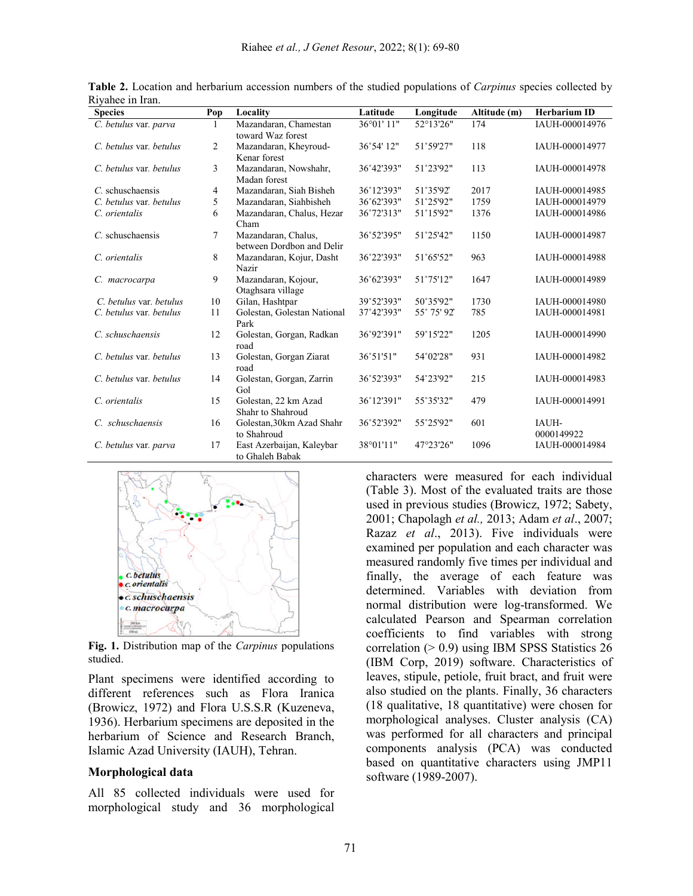| <b>Species</b>          | Pop | Locality                                         | Latitude           | Longitude   | Altitude (m) | <b>Herbarium ID</b> |
|-------------------------|-----|--------------------------------------------------|--------------------|-------------|--------------|---------------------|
| C. betulus var. parva   |     | Mazandaran, Chamestan<br>toward Waz forest       | 36°01'11"          | 52°13'26"   | 174          | IAUH-000014976      |
| C. betulus var. betulus | 2   | Mazandaran, Kheyroud-<br>Kenar forest            | 36°54' 12"         | 51°59'27"   | 118          | IAUH-000014977      |
| C. betulus var. betulus | 3   | Mazandaran, Nowshahr,<br>Madan forest            | 36°42'393"         | 51°23'92"   | 113          | IAUH-000014978      |
| $C$ . schuschaensis     | 4   | Mazandaran, Siah Bisheh                          | 36°12'393"         | 51°35'92"   | 2017         | IAUH-000014985      |
| C. betulus var. betulus | 5   | Mazandaran, Siahbisheh                           | 36°62'393"         | 51°25'92"   | 1759         | IAUH-000014979      |
| C. orientalis           | 6   | Mazandaran, Chalus, Hezar<br>Cham                | 36°72'313"         | 51°15'92"   | 1376         | IAUH-000014986      |
| $C$ . schuschaensis     | 7   | Mazandaran, Chalus,<br>between Dordbon and Delir | 36°52'395"         | 51°25'42"   | 1150         | IAUH-000014987      |
| C. orientalis           | 8   | Mazandaran, Kojur, Dasht<br>Nazir                | 36°22'393"         | 51°65'52"   | 963          | IAUH-000014988      |
| C. macrocarpa           | 9   | Mazandaran, Kojour,<br>Otaghsara village         | 36°62'393"         | 51°75'12"   | 1647         | IAUH-000014989      |
| C. betulus var. betulus | 10  | Gilan, Hashtpar                                  | 39°52'393"         | 50°35'92"   | 1730         | IAUH-000014980      |
| C. betulus var. betulus | 11  | Golestan, Golestan National<br>Park              | 37°42'393"         | 55° 75' 92" | 785          | IAUH-000014981      |
| C. schuschaensis        | 12  | Golestan, Gorgan, Radkan<br>road                 | 36°92'391"         | 59°15'22"   | 1205         | IAUH-000014990      |
| C. betulus var. betulus | 13  | Golestan, Gorgan Ziarat<br>road                  | $36^{\circ}51'51"$ | 54°02'28"   | 931          | IAUH-000014982      |
| C. betulus var. betulus | 14  | Golestan, Gorgan, Zarrin<br>Gol                  | 36°52'393"         | 54°23'92"   | 215          | IAUH-000014983      |
| C. orientalis           | 15  | Golestan, 22 km Azad<br>Shahr to Shahroud        | 36°12'391"         | 55°35'32"   | 479          | IAUH-000014991      |
| C. schuschaensis        | 16  | Golestan, 30km Azad Shahr<br>to Shahroud         | 36°52'392"         | 55°25'92"   | 601          | IAUH-<br>0000149922 |
| C. betulus var. parva   | 17  | East Azerbaijan, Kaleybar<br>to Ghaleh Babak     | 38°01'11"          | 47°23'26"   | 1096         | IAUH-000014984      |

**Table 2.** Location and herbarium accession numbers of the studied populations of *Carpinus* species collected by Riyahee in Iran.



**Fig. 1.** Distribution map of the *Carpinus* populations studied.

Plant specimens were identified according to different references such as Flora Iranica (Browicz, 1972) and Flora U.S.S.R (Kuzeneva, 1936). Herbarium specimens are deposited in the herbarium of Science and Research Branch, Islamic Azad University (IAUH), Tehran.

### **Morphological data**

All 85 collected individuals were used for morphological study and 36 morphological characters were measured for each individual (Table 3). Most of the evaluated traits are those used in previous studies (Browicz, 1972; Sabety, 2001; Chapolagh *et al.,* 2013; Adam *et al*., 2007; Razaz *et al*., 2013). Five individuals were examined per population and each character was measured randomly five times per individual and finally, the average of each feature was determined. Variables with deviation from normal distribution were log-transformed. We calculated Pearson and Spearman correlation coefficients to find variables with strong correlation (> 0.9) using IBM SPSS Statistics 26 (IBM Corp, 2019) software. Characteristics of leaves, stipule, petiole, fruit bract, and fruit were also studied on the plants. Finally, 36 characters (18 qualitative, 18 quantitative) were chosen for morphological analyses. Cluster analysis (CA) was performed for all characters and principal components analysis (PCA) was conducted based on quantitative characters using JMP11 software (1989-2007).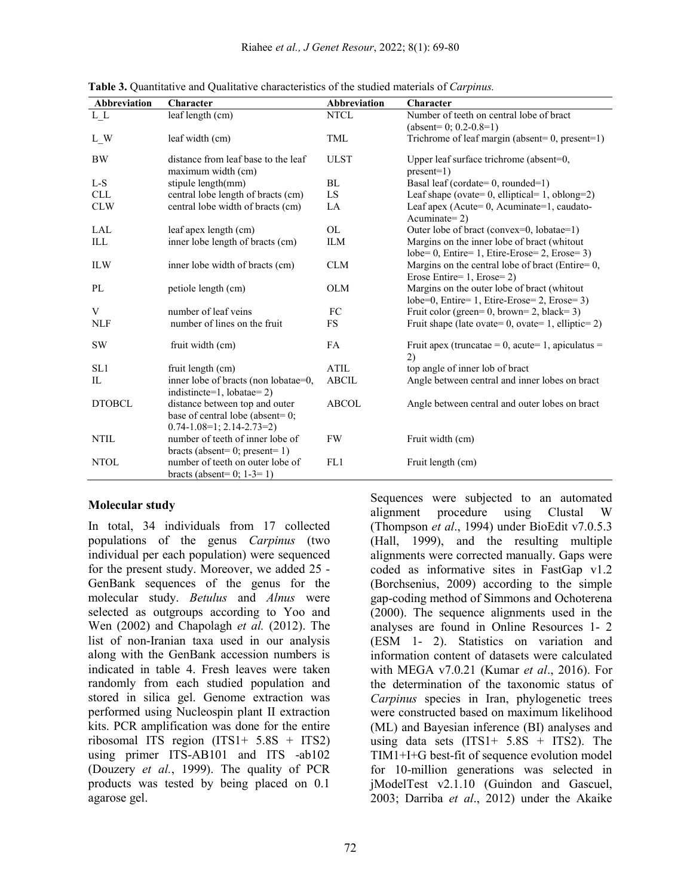| Abbreviation  | Character                                                                                                 | Abbreviation | Character                                                                                      |
|---------------|-----------------------------------------------------------------------------------------------------------|--------------|------------------------------------------------------------------------------------------------|
| $L\_L$        | leaf length (cm)                                                                                          | <b>NTCL</b>  | Number of teeth on central lobe of bract                                                       |
|               |                                                                                                           |              | $(absent=0; 0.2-0.8=1)$                                                                        |
| L W           | leaf width (cm)                                                                                           | TML          | Trichrome of leaf margin (absent=0, present=1)                                                 |
| <b>BW</b>     | distance from leaf base to the leaf<br>maximum width (cm)                                                 | <b>ULST</b>  | Upper leaf surface trichrome (absent=0,<br>$present=1)$                                        |
| $L-S$         | stipule length(mm)                                                                                        | BL           | Basal leaf (cordate=0, rounded=1)                                                              |
| <b>CLL</b>    | central lobe length of bracts (cm)                                                                        | LS.          | Leaf shape (ovate= $0$ , elliptical= $1$ , oblong= $2$ )                                       |
| <b>CLW</b>    | central lobe width of bracts (cm)                                                                         | LA           | Leaf apex (Acute= $0$ , Acuminate=1, caudato-<br>$Acuminate=2$                                 |
| LAL           | leaf apex length (cm)                                                                                     | OL           | Outer lobe of bract (convex=0, lobatae=1)                                                      |
| ILL           | inner lobe length of bracts (cm)                                                                          | <b>ILM</b>   | Margins on the inner lobe of bract (whitout<br>lobe= 0, Entire= 1, Etire-Erose= 2, Erose= 3)   |
| <b>ILW</b>    | inner lobe width of bracts (cm)                                                                           | <b>CLM</b>   | Margins on the central lobe of bract (Entire= $0$ ,<br>Erose Entire= 1, Erose= 2)              |
| PL            | petiole length (cm)                                                                                       | <b>OLM</b>   | Margins on the outer lobe of bract (whitout<br>$lobe=0$ , Entire= 1, Etire-Erose= 2, Erose= 3) |
| V             | number of leaf veins                                                                                      | FC           | Fruit color (green=0, brown=2, black=3)                                                        |
| <b>NLF</b>    | number of lines on the fruit                                                                              | FS.          | Fruit shape (late ovate= $0$ , ovate= $1$ , elliptic= $2$ )                                    |
| <b>SW</b>     | fruit width (cm)                                                                                          | FA           | Fruit apex (truncatae = $0$ , acute= 1, apiculatus =<br>2)                                     |
| SL1           | fruit length (cm)                                                                                         | <b>ATIL</b>  | top angle of inner lob of bract                                                                |
| IL            | inner lobe of bracts (non lobatae=0,<br>indistincte=1, lobatae= $2$ )                                     | <b>ABCIL</b> | Angle between central and inner lobes on bract                                                 |
| <b>DTOBCL</b> | distance between top and outer<br>base of central lobe (absent= $0$ ;<br>$0.74 - 1.08 = 1$ ; 2.14-2.73=2) | <b>ABCOL</b> | Angle between central and outer lobes on bract                                                 |
| <b>NTIL</b>   | number of teeth of inner lobe of<br>bracts (absent= $0$ ; present= $1$ )                                  | <b>FW</b>    | Fruit width (cm)                                                                               |
| <b>NTOL</b>   | number of teeth on outer lobe of<br>bracts (absent= $0$ ; 1-3= 1)                                         | FL1          | Fruit length (cm)                                                                              |

**Table 3.** Quantitative and Qualitative characteristics of the studied materials of *Carpinus.*

# **Molecular study**

In total, 34 individuals from 17 collected populations of the genus *Carpinus* (two individual per each population) were sequenced for the present study. Moreover, we added 25 - GenBank sequences of the genus for the molecular study. *Betulus* and *Alnus* were selected as outgroups according to Yoo and Wen (2002) and Chapolagh *et al.* (2012). The list of non-Iranian taxa used in our analysis along with the GenBank accession numbers is indicated in table 4. Fresh leaves were taken randomly from each studied population and stored in silica gel. Genome extraction was performed using Nucleospin plant ІІ extraction kits. PCR amplification was done for the entire ribosomal ITS region (ITS1+ 5.8S + ITS2) using primer ITS-AB101 and ITS -ab102 (Douzery *et al.*, 1999). The quality of PCR products was tested by being placed on 0.1 agarose gel.

Sequences were subjected to an automated alignment procedure using Clustal W (Thompson *et al*., 1994) under BioEdit v7.0.5.3 (Hall, 1999), and the resulting multiple alignments were corrected manually. Gaps were coded as informative sites in FastGap v1.2 (Borchsenius, 2009) according to the simple gap-coding method of Simmons and Ochoterena (2000). The sequence alignments used in the analyses are found in Online Resources 1- 2 (ESM 1- 2). Statistics on variation and information content of datasets were calculated with MEGA v7.0.21 (Kumar *et al*., 2016). For the determination of the taxonomic status of *Carpinus* species in Iran, phylogenetic trees were constructed based on maximum likelihood (ML) and Bayesian inference (BI) analyses and using data sets  $(ITS1 + 5.8S + ITS2)$ . The TIM1+I+G best-fit of sequence evolution model for 10-million generations was selected in jModelTest v2.1.10 (Guindon and Gascuel, 2003; Darriba *et al*., 2012) under the Akaike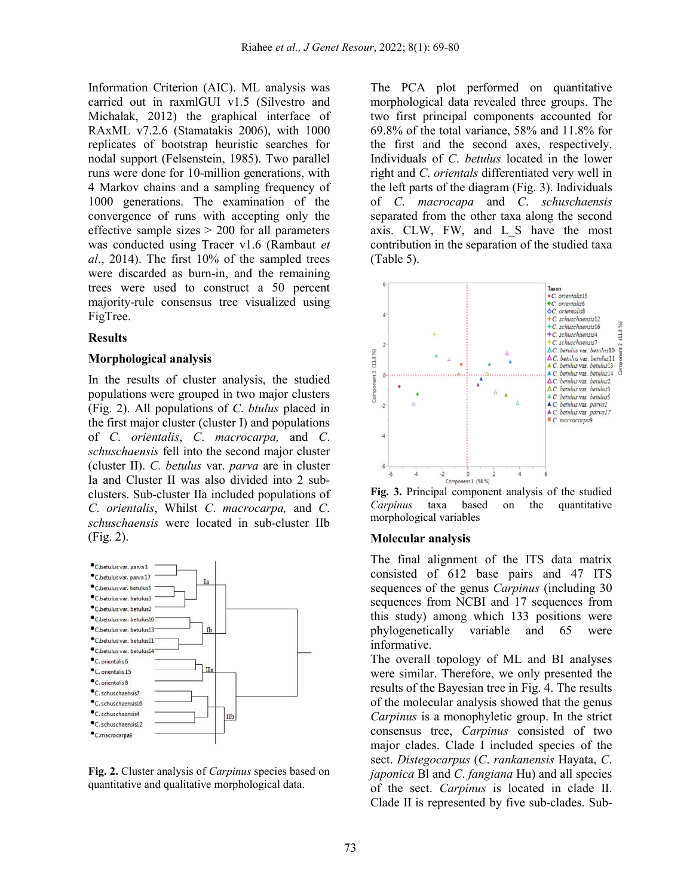Information Criterion (AIC). ML analysis was carried out in raxmlGUI v1.5 (Silvestro and Michalak, 2012) the graphical interface of RAxML v7.2.6 (Stamatakis 2006), with 1000 replicates of bootstrap heuristic searches for nodal support (Felsenstein, 1985). Two parallel runs were done for 10-million generations, with 4 Markov chains and a sampling frequency of 1000 generations. The examination of the convergence of runs with accepting only the effective sample sizes  $> 200$  for all parameters was conducted using Tracer v1.6 (Rambaut *et al*., 2014). The first 10% of the sampled trees were discarded as burn-in, and the remaining trees were used to construct a 50 percent majority-rule consensus tree visualized using FigTree.

#### **Results**

#### **Morphological analysis**

In the results of cluster analysis, the studied populations were grouped in two major clusters (Fig. 2). All populations of *C*. *btulus* placed in the first major cluster (cluster І) and populations of *C*. *orientalis*, *C*. *macrocarpa,* and *C*. *schuschaensis* fell into the second major cluster (cluster ІІ). *C. betulus* var. *parva* are in cluster Іa and Cluster ІІ was also divided into 2 subclusters. Sub-cluster IІa included populations of *C*. *orientalis*, Whilst *C*. *macrocarpa,* and *C*. *schuschaensis* were located in sub-cluster ІІb (Fig. 2).



**Fig. 2.** Cluster analysis of *Carpinus* species based on quantitative and qualitative morphological data.

The PCA plot performed on quantitative morphological data revealed three groups. The two first principal components accounted for 69.8% of the total variance, 58% and 11.8% for the first and the second axes, respectively. Individuals of *C*. *betulus* located in the lower right and *C*. *orientals* differentiated very well in the left parts of the diagram (Fig. 3). Individuals of *C*. *macrocapa* and *C*. *schuschaensis* separated from the other taxa along the second axis. CLW, FW, and L\_S have the most contribution in the separation of the studied taxa (Table 5).



**Fig. 3.** Principal component analysis of the studied *Carpinus* taxa based on the quantitative morphological variables

#### **Molecular analysis**

The final alignment of the ITS data matrix consisted of 612 base pairs and 47 ITS sequences of the genus *Carpinus* (including 30 sequences from NCBI and 17 sequences from this study) among which 133 positions were phylogenetically variable and 65 were informative.

The overall topology of ML and BI analyses were similar. Therefore, we only presented the results of the Bayesian tree in Fig. 4. The results of the molecular analysis showed that the genus *Carpinus* is a monophyletic group. In the strict consensus tree, *Carpinus* consisted of two major clades. Clade I included species of the sect. *Distegocarpus* (*C*. *rankanensis* Hayata, *C*. *japonica* Bl and *C*. *fangiana* Hu) and all species of the sect. *Carpinus* is located in clade II. Clade II is represented by five sub-clades. Sub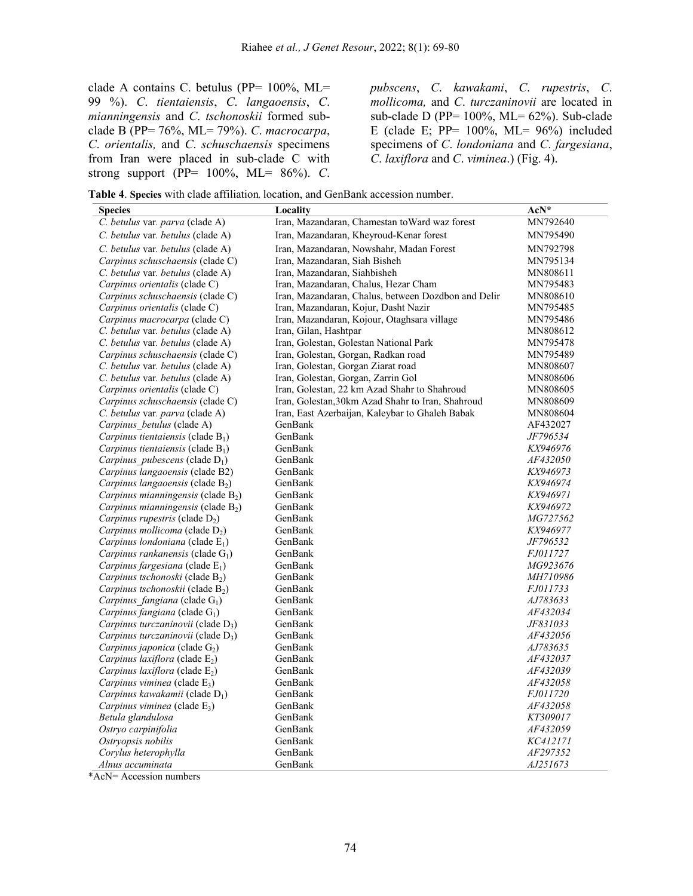clade A contains C. betulus (PP= 100%, ML= 99 %). *C*. *tientaiensis*, *C*. *langaoensis*, *C*. *mianningensis* and *C*. *tschonoskii* formed subclade B (PP= 76%, ML= 79%). *C*. *macrocarpa*, *C*. *orientalis,* and *C*. *schuschaensis* specimens from Iran were placed in sub-clade C with strong support (PP= 100%, ML= 86%). *C*.

*pubscens*, *C*. *kawakami*, *C*. *rupestris*, *C*. *mollicoma,* and *C*. *turczaninovii* are located in sub-clade D (PP= 100%, ML= 62%). Sub-clade E (clade E; PP=  $100\%$ , ML=  $96\%$ ) included specimens of *C*. *londoniana* and *C*. *fargesiana*, *C*. *laxiflora* and *C*. *viminea*.) (Fig. 4).

**Table 4**. **Species** with clade affiliation, location, and GenBank accession number.

| <b>Species</b>                                 | Locality                                            | AcN*            |
|------------------------------------------------|-----------------------------------------------------|-----------------|
| C. betulus var. parva (clade A)                | Iran, Mazandaran, Chamestan to Ward waz forest      | MN792640        |
| C. betulus var. betulus (clade A)              | Iran, Mazandaran, Kheyroud-Kenar forest             | MN795490        |
| C. betulus var. betulus (clade A)              | Iran, Mazandaran, Nowshahr, Madan Forest            | MN792798        |
| Carpinus schuschaensis (clade C)               | Iran, Mazandaran, Siah Bisheh                       | MN795134        |
| C. betulus var. betulus (clade A)              | Iran, Mazandaran, Siahbisheh                        | MN808611        |
| Carpinus orientalis (clade C)                  | Iran, Mazandaran, Chalus, Hezar Cham                | MN795483        |
| Carpinus schuschaensis (clade C)               | Iran, Mazandaran, Chalus, between Dozdbon and Delir | MN808610        |
| Carpinus orientalis (clade C)                  | Iran, Mazandaran, Kojur, Dasht Nazir                | MN795485        |
| Carpinus macrocarpa (clade C)                  | Iran, Mazandaran, Kojour, Otaghsara village         | MN795486        |
| C. betulus var. betulus (clade A)              | Iran, Gilan, Hashtpar                               | MN808612        |
| C. betulus var. betulus (clade A)              | Iran, Golestan, Golestan National Park              | MN795478        |
| Carpinus schuschaensis (clade C)               | Iran, Golestan, Gorgan, Radkan road                 | MN795489        |
| C. betulus var. betulus (clade A)              | Iran, Golestan, Gorgan Ziarat road                  | MN808607        |
| C. betulus var. betulus (clade A)              | Iran, Golestan, Gorgan, Zarrin Gol                  | MN808606        |
| Carpinus orientalis (clade C)                  | Iran, Golestan, 22 km Azad Shahr to Shahroud        | MN808605        |
| Carpinus schuschaensis (clade C)               | Iran, Golestan, 30km Azad Shahr to Iran, Shahroud   | MN808609        |
| C. betulus var. parva (clade A)                | Iran, East Azerbaijan, Kaleybar to Ghaleh Babak     | MN808604        |
| Carpinus betulus (clade A)                     | GenBank                                             | AF432027        |
| Carpinus tientaiensis (clade $B_1$ )           | GenBank                                             | JF796534        |
| Carpinus tientaiensis (clade $B_1$ )           | GenBank                                             | KX946976        |
| Carpinus pubescens (clade $D_1$ )              | GenBank                                             | <i>AF432050</i> |
| Carpinus langaoensis (clade B2)                | GenBank                                             | <i>KX946973</i> |
| <i>Carpinus langaoensis</i> (clade $B_2$ )     | GenBank                                             | KX946974        |
| <i>Carpinus mianningensis</i> (clade $B_2$ )   | GenBank                                             | KX946971        |
| Carpinus mianningensis (clade $B_2$ )          | GenBank                                             | KX946972        |
| <i>Carpinus rupestris</i> (clade $D_2$ )       | GenBank                                             | MG727562        |
| <i>Carpinus mollicoma</i> (clade $D_2$ )       | GenBank                                             | KX946977        |
| Carpinus londoniana (clade $E_1$ )             | GenBank                                             | JF796532        |
| <i>Carpinus rankanensis</i> (clade $G_1$ )     | GenBank                                             | <i>FJ011727</i> |
| Carpinus fargesiana (clade $E_1$ )             | GenBank                                             | MG923676        |
| Carpinus tschonoski (clade B <sub>2</sub> )    | GenBank                                             | <i>MH710986</i> |
| Carpinus tschonoskii (clade $B_2$ )            | GenBank                                             | FJ011733        |
| Carpinus fangiana (clade $G_1$ )               | GenBank                                             | AJ783633        |
| Carpinus fangiana (clade $G_1$ )               | GenBank                                             | AF432034        |
| <i>Carpinus turczaninovii</i> (clade $D_3$ )   | GenBank                                             | JF831033        |
| Carpinus turczaninovii (clade D <sub>3</sub> ) | GenBank                                             | <i>AF432056</i> |
| Carpinus japonica (clade G <sub>2</sub> )      | GenBank                                             | AJ783635        |
| Carpinus laxiflora (clade $E_2$ )              | GenBank                                             | AF432037        |
| Carpinus laxiflora (clade $E_2$ )              | GenBank                                             | AF432039        |
| Carpinus viminea (clade $E_3$ )                | GenBank                                             | AF432058        |
| Carpinus kawakamii (clade $D_1$ )              | GenBank                                             | <i>FJ011720</i> |
| <i>Carpinus viminea</i> (clade $E_3$ )         | GenBank                                             | AF432058        |
| Betula glandulosa                              | GenBank                                             | KT309017        |
| Ostryo carpinifolia                            | GenBank                                             | AF432059        |
| Ostryopsis nobilis                             | GenBank                                             | KC412171        |
| Corylus heterophylla                           | GenBank                                             | AF297352        |
| Alnus accuminata                               | GenBank                                             | AJ251673        |

\*AcN= Accession numbers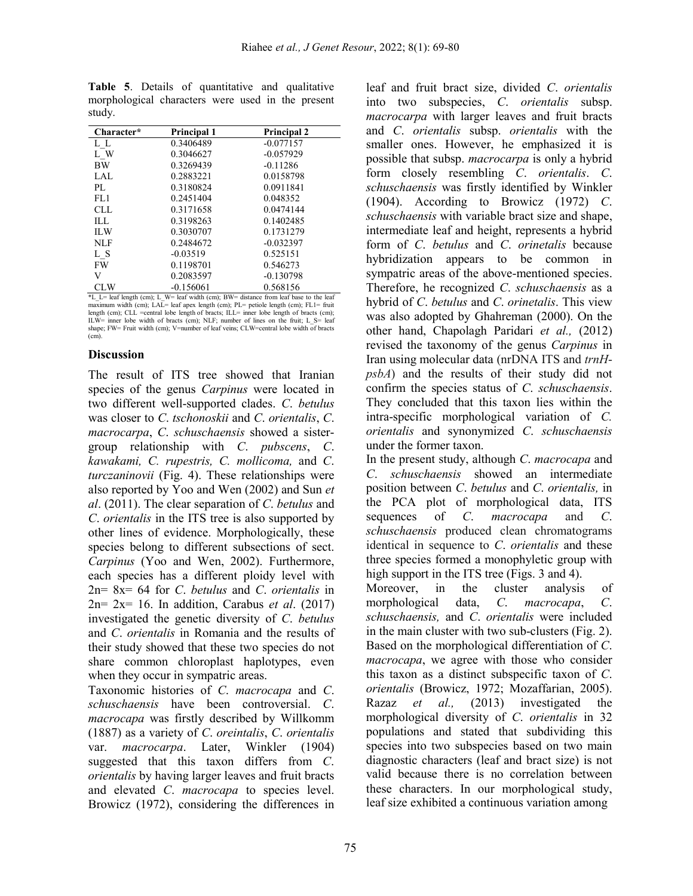| Character* | Principal 1 | <b>Principal 2</b> |
|------------|-------------|--------------------|
| L L        | 0.3406489   | $-0.077157$        |
| L W        | 0.3046627   | $-0.057929$        |
| <b>BW</b>  | 0.3269439   | $-0.11286$         |
| LAL.       | 0.2883221   | 0.0158798          |
| PL.        | 0.3180824   | 0.0911841          |
| FL1        | 0.2451404   | 0.048352           |
| CLL.       | 0.3171658   | 0.0474144          |
| HJ.        | 0.3198263   | 0.1402485          |
| <b>ILW</b> | 0.3030707   | 0.1731279          |
| NLF        | 0.2484672   | $-0.032397$        |
| L S        | $-0.03519$  | 0.525151           |
| <b>FW</b>  | 0.1198701   | 0.546273           |
| V          | 0.2083597   | $-0.130798$        |
| CLW        | $-0.156061$ | 0.568156           |

**Table 5**. Details of quantitative and qualitative morphological characters were used in the present study.

CLW -0.156061 0.568156 \*L\_L= leaf length (cm); L\_W= leaf width (cm); BW= distance from leaf base to the leaf maximum width (cm); LAL= leaf apex length (cm); PL= petiole length (cm); FL1= fruit length (cm); CLL =central lobe length of bracts; ILL= inner lobe length of bracts (cm); ILW= inner lobe width of bracts (cm); NLF; number of lines on the fruit; L\_S= leaf shape; FW= Fruit width (cm); V=number of leaf veins; CLW=central lobe width  $\overline{of}$  bracts  $(cm)$ 

### **Discussion**

The result of ITS tree showed that Iranian species of the genus *Carpinus* were located in two different well-supported clades. *C*. *betulus* was closer to *C*. *tschonoskii* and *C*. *orientalis*, *C*. *macrocarpa*, *C*. *schuschaensis* showed a sistergroup relationship with *C*. *pubscens*, *C*. *kawakami, C. rupestris, C. mollicoma,* and *C*. *turczaninovii* (Fig. 4). These relationships were also reported by Yoo and Wen (2002) and Sun *et al*. (2011). The clear separation of *C*. *betulus* and *C*. *orientalis* in the ITS tree is also supported by other lines of evidence. Morphologically, these species belong to different subsections of sect. *Carpinus* (Yoo and Wen, 2002). Furthermore, each species has a different ploidy level with 2n= 8x= 64 for *C*. *betulus* and *C*. *orientalis* in 2n= 2x= 16. In addition, Carabus *et al*. (2017) investigated the genetic diversity of *C*. *betulus* and *C*. *orientalis* in Romania and the results of their study showed that these two species do not share common chloroplast haplotypes, even when they occur in sympatric areas.

Taxonomic histories of *C*. *macrocapa* and *C*. *schuschaensis* have been controversial. *C*. *macrocapa* was firstly described by Willkomm (1887) as a variety of *C*. *oreintalis*, *C*. *orientalis* var. *macrocarpa*. Later, Winkler (1904) suggested that this taxon differs from *C*. *orientalis* by having larger leaves and fruit bracts and elevated *C*. *macrocapa* to species level. Browicz (1972), considering the differences in

leaf and fruit bract size, divided *C*. *orientalis* into two subspecies, *C*. *orientalis* subsp. *macrocarpa* with larger leaves and fruit bracts and *C*. *orientalis* subsp. *orientalis* with the smaller ones. However, he emphasized it is possible that subsp. *macrocarpa* is only a hybrid form closely resembling *C*. *orientalis*. *C*. *schuschaensis* was firstly identified by Winkler (1904). According to Browicz (1972) *C*. *schuschaensis* with variable bract size and shape, intermediate leaf and height, represents a hybrid form of *C*. *betulus* and *C*. *orinetalis* because hybridization appears to be common in sympatric areas of the above-mentioned species. Therefore, he recognized *C*. *schuschaensis* as a hybrid of *C*. *betulus* and *C*. *orinetalis*. This view was also adopted by Ghahreman (2000). On the other hand, Chapolagh Paridari *et al.,* (2012) revised the taxonomy of the genus *Carpinus* in Iran using molecular data (nrDNA ITS and *trnHpsbA*) and the results of their study did not confirm the species status of *C*. *schuschaensis*. They concluded that this taxon lies within the intra-specific morphological variation of *C. orientalis* and synonymized *C*. *schuschaensis* under the former taxon.

In the present study, although *C*. *macrocapa* and *C*. *schuschaensis* showed an intermediate position between *C*. *betulus* and *C*. *orientalis,* in the PCA plot of morphological data, ITS sequences of *C*. *macrocapa* and *C*. *schuschaensis* produced clean chromatograms identical in sequence to *C*. *orientalis* and these three species formed a monophyletic group with high support in the ITS tree (Figs. 3 and 4).

Moreover, in the cluster analysis of morphological data, *C*. *macrocapa*, *C*. *schuschaensis,* and *C*. *orientalis* were included in the main cluster with two sub-clusters (Fig. 2). Based on the morphological differentiation of *C*. *macrocapa*, we agree with those who consider this taxon as a distinct subspecific taxon of *C*. *orientalis* (Browicz, 1972; Mozaffarian, 2005). Razaz *et al.,* (2013) investigated the morphological diversity of *C*. *orientalis* in 32 populations and stated that subdividing this species into two subspecies based on two main diagnostic characters (leaf and bract size) is not valid because there is no correlation between these characters. In our morphological study, leaf size exhibited a continuous variation among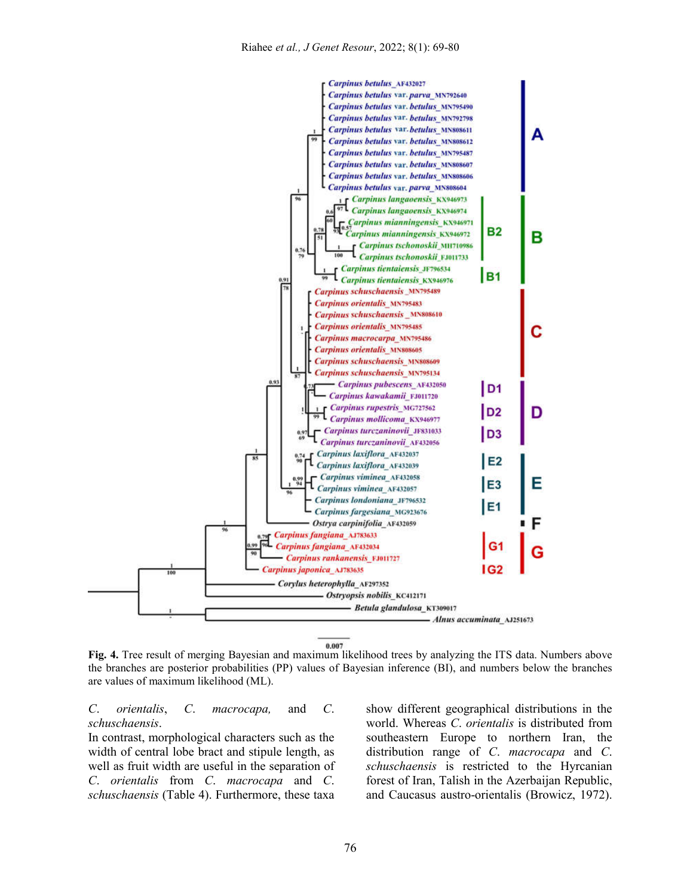

**Fig. 4.** Tree result of merging Bayesian and maximum likelihood trees by analyzing the ITS data. Numbers above the branches are posterior probabilities (PP) values of Bayesian inference (BI), and numbers below the branches are values of maximum likelihood (ML).

*C*. *orientalis*, *C*. *macrocapa,* and *C*. *schuschaensis*.

In contrast, morphological characters such as the width of central lobe bract and stipule length, as well as fruit width are useful in the separation of *C*. *orientalis* from *C*. *macrocapa* and *C*. *schuschaensis* (Table 4). Furthermore, these taxa

show different geographical distributions in the world. Whereas *C*. *orientalis* is distributed from southeastern Europe to northern Iran, the distribution range of *C*. *macrocapa* and *C*. *schuschaensis* is restricted to the Hyrcanian forest of Iran, Talish in the Azerbaijan Republic, and Caucasus austro-orientalis (Browicz, 1972).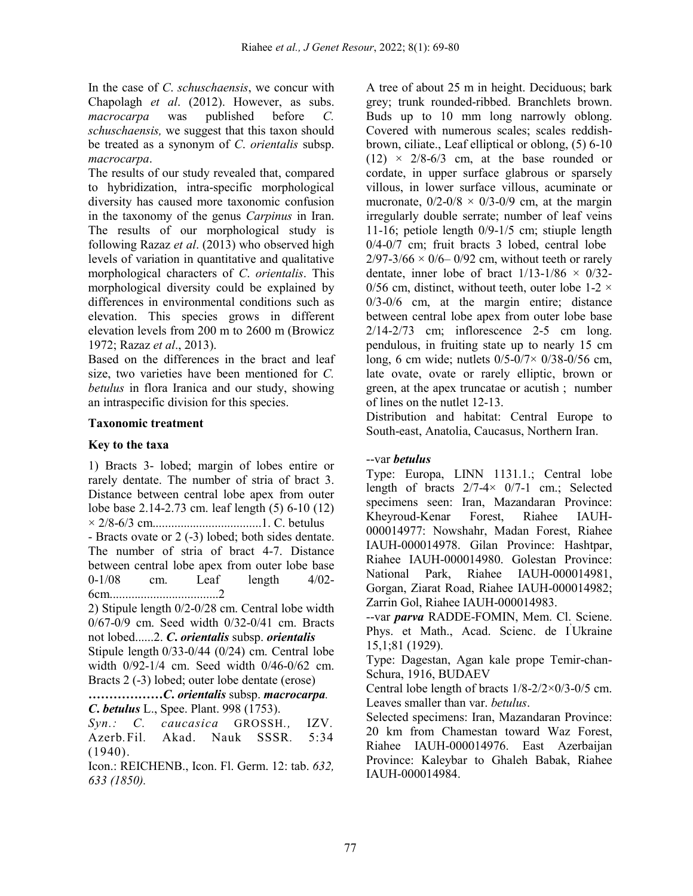In the case of *C*. *schuschaensis*, we concur with Chapolagh *et al*. (2012). However, as subs. *macrocarpa* was published before *C. schuschaensis,* we suggest that this taxon should be treated as a synonym of *C*. *orientalis* subsp. *macrocarpa*.

The results of our study revealed that, compared to hybridization, intra-specific morphological diversity has caused more taxonomic confusion in the taxonomy of the genus *Carpinus* in Iran. The results of our morphological study is following Razaz *et al*. (2013) who observed high levels of variation in quantitative and qualitative morphological characters of *C*. *orientalis*. This morphological diversity could be explained by differences in environmental conditions such as elevation. This species grows in different elevation levels from 200 m to 2600 m (Browicz 1972; Razaz *et al*., 2013).

Based on the differences in the bract and leaf size, two varieties have been mentioned for *C. betulus* in flora Iranica and our study, showing an intraspecific division for this species.

# **Taxonomic treatment**

# **Key to the taxa**

1) Bracts 3- lobed; margin of lobes entire or rarely dentate. The number of stria of bract 3. Distance between central lobe apex from outer lobe base 2.14-2.73 cm. leaf length (5) 6-10 (12) × 2/8-6/3 cm...................................1. C. betulus - Bracts ovate or 2 (-3) lobed; both sides dentate. The number of stria of bract 4-7. Distance between central lobe apex from outer lobe base 0-1/08 cm. Leaf length 4/02- 6cm...................................2 2) Stipule length 0/2-0/28 cm. Central lobe width 0/67-0/9 cm. Seed width 0/32-0/41 cm. Bracts not lobed......2. *C***.** *orientalis* subsp. *orientalis* Stipule length 0/33-0/44 (0/24) cm. Central lobe width 0/92-1/4 cm. Seed width 0/46-0/62 cm. Bracts 2 (-3) lobed; outer lobe dentate (erose)

*………………C***.** *orientalis* subsp. *macrocarpa. C***.** *betulus* L., Spee. Plant. 998 (1753).

*Syn.: C. caucasica* GROSSH*.,* IZV*.*  Azerb*.*Fil*.* Akad. Nauk SSSR*.* 5:34 (1940).

Icon.: REICHENB., Icon. Fl. Germ. 12: tab. *632, 633 (1850).*

A tree of about 25 m in height. Deciduous; bark grey; trunk rounded-ribbed. Branchlets brown. Buds up to 10 mm long narrowly oblong. Covered with numerous scales; scales reddishbrown, ciliate., Leaf elliptical or oblong, (5) 6-10  $(12) \times 2/8-6/3$  cm, at the base rounded or cordate, in upper surface glabrous or sparsely villous, in lower surface villous, acuminate or mucronate,  $0/2$ -0/8  $\times$  0/3-0/9 cm, at the margin irregularly double serrate; number of leaf veins 11-16; petiole length 0/9-1/5 cm; stiuple length 0/4-0/7 cm; fruit bracts 3 lobed, central lobe  $2/97-3/66 \times 0/6 - 0/92$  cm, without teeth or rarely dentate, inner lobe of bract  $1/13-1/86 \times 0/32$ -0/56 cm, distinct, without teeth, outer lobe  $1-2 \times$ 0/3-0/6 cm, at the margin entire; distance between central lobe apex from outer lobe base 2/14-2/73 cm; inflorescence 2-5 cm long. pendulous, in fruiting state up to nearly 15 cm long, 6 cm wide; nutlets  $0/5 - 0/7 \times 0/38 - 0/56$  cm, late ovate, ovate or rarely elliptic, brown or green, at the apex truncatae or acutish ; number of lines on the nutlet 12-13.

Distribution and habitat: Central Europe to South-east, Anatolia, Caucasus, Northern Iran.

# --var *betulus*

Type: Europa, LINN 1131.1.; Central lobe length of bracts  $2/7-4 \times 0/7-1$  cm.; Selected specimens seen: Iran, Mazandaran Province: Kheyroud-Kenar Forest, Riahee IAUH-000014977: Nowshahr, Madan Forest, Riahee IAUH-000014978. Gilan Province: Hashtpar, Riahee IAUH-000014980. Golestan Province: National Park, Riahee IAUH-000014981, Gorgan, Ziarat Road, Riahee IAUH-000014982; Zarrin Gol, Riahee IAUH-000014983.

--var *parva* RADDE-FOMIN, Mem. Cl. Sciene. Phys. et Math., Acad. Scienc. de I' Ukraine 15,1;81 (1929).

Type: Dagestan, Agan kale prope Temir-chan-Schura, 1916, BUDAEV

Central lobe length of bracts  $1/8 - 2/2 \times 0/3 - 0/5$  cm. Leaves smaller than var. *betulus*.

Selected specimens: Iran, Mazandaran Province: 20 km from Chamestan toward Waz Forest, Riahee IAUH-000014976. East Azerbaijan Province: Kaleybar to Ghaleh Babak, Riahee IAUH-000014984.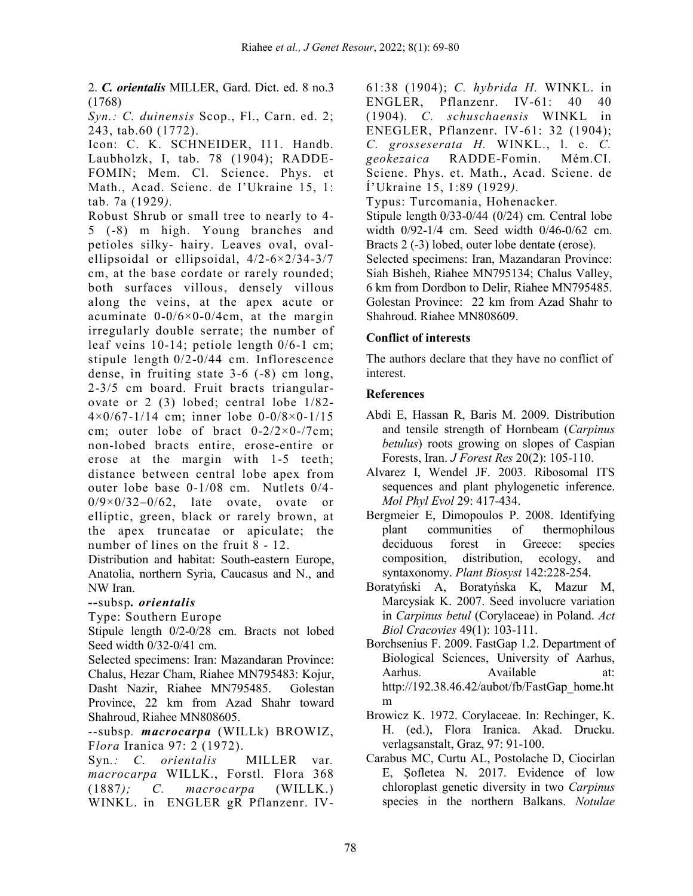2. *C. orientalis* MILLER, Gard. Dict. ed. 8 no.3 (1768)

*Syn.: C. duinensis* Scop., Fl., Carn. ed. 2; 243, tab.60 (1772).

Icon: C. K. SCHNEIDER, I11. Handb. Laubholzk, I, tab. 78 (1904); RADDE-FOMIN; Mem. Cl. Science. Phys. et Math., Acad. Scienc. de I'Ukraine 15, 1: tab. 7a (1929*).* 

Robust Shrub or small tree to nearly to 4- 5 (-8) m high. Young branches and petioles silky- hairy. Leaves oval, ovalellipsoidal or ellipsoidal, 4/2-6×2/34-3/7 cm, at the base cordate or rarely rounded; both surfaces villous, densely villous along the veins, at the apex acute or acuminate  $0-0/6\times0-0/4$ cm, at the margin irregularly double serrate; the number of leaf veins 10-14; petiole length 0/6-1 cm; stipule length 0/2-0/44 cm. Inflorescence dense, in fruiting state 3-6 (-8) cm long, 2-3/5 cm board. Fruit bracts triangularovate or 2 (3) lobed; central lobe 1/82- 4×0/67-1/14 cm; inner lobe 0-0/8×0-1/15 cm; outer lobe of bract  $0-2/2\times0-7$ cm; non-lobed bracts entire, erose-entire or erose at the margin with 1-5 teeth; distance between central lobe apex from outer lobe base 0-1/08 cm. Nutlets 0/4-  $0/9 \times 0/32 - 0/62$ , late ovate, ovate or elliptic, green, black or rarely brown, at the apex truncatae or apiculate; the number of lines on the fruit 8 - 12.

Distribution and habitat: South-eastern Europe, Anatolia, northern Syria, Caucasus and N., and NW Iran.

# **--**subsp*. orientalis*

Type: Southern Europe

Stipule length 0/2-0/28 cm. Bracts not lobed Seed width 0/32-0/41 cm.

Selected specimens: Iran: Mazandaran Province: Chalus, Hezar Cham, Riahee MN795483: Kojur, Dasht Nazir, Riahee MN795485. Golestan Province, 22 km from Azad Shahr toward Shahroud, Riahee MN808605.

*--*subsp*. macrocarpa* (WILLk) BROWIZ, F*lora* Iranica 97: 2 (1972).

Syn.: C. orientalis MILLER var. *macrocarpa* WILLK., Forstl*.* Flora 368 (1887*); C. macrocarpa* (WILLK.) WINKL. in ENGLER gR Pflanzenr. IV-

61:38 (1904); *C. hybrida H.* WINKL. in ENGLER, Pflanzenr. IV-61: 40 40 (1904)*. C. schuschaensis* WINKL in ENEGLER, Pflanzenr. IV-61: 32 (1904); *C. grosseserata H.* WINKL., l. c. *C. geokezaica* RADDE-Fomin. Mém.CI. Sciene. Phys. et. Math., Acad. Sciene. de Í'Ukraine 15, 1:89 (1929*).* 

Typus: Turcomania, Hohenacker*.* Stipule length 0/33-0/44 (0/24) cm. Central lobe width 0/92-1/4 cm. Seed width 0/46-0/62 cm. Bracts 2 (-3) lobed, outer lobe dentate (erose). Selected specimens: Iran, Mazandaran Province: Siah Bisheh, Riahee MN795134; Chalus Valley, 6 km from Dordbon to Delir, Riahee MN795485. Golestan Province: 22 km from Azad Shahr to Shahroud. Riahee MN808609.

# **Conflict of interests**

The authors declare that they have no conflict of interest.

### **References**

- Abdi E, Hassan R, Baris M. 2009. Distribution and tensile strength of Hornbeam (*Carpinus betulus*) roots growing on slopes of Caspian Forests, Iran. *J Forest Res* 20(2): 105-110.
- Alvarez I, Wendel JF. 2003. Ribosomal ITS sequences and plant phylogenetic inference. *Mol Phyl Evol* 29: 417-434.
- Bergmeier E, Dimopoulos P. 2008. Identifying plant communities of thermophilous deciduous forest in Greece: species composition, distribution, ecology, and syntaxonomy. *Plant Biosyst* 142:228-254.
- Boratyński A, Boratyńska K, Mazur M, Marcysiak K. 2007. Seed involucre variation in *Carpinus betul* (Corylaceae) in Poland. *Act Biol Cracovies* 49(1): 103-111.
- Borchsenius F. 2009. FastGap 1.2. Department of Biological Sciences, University of Aarhus, Aarhus. Available at: http://192.38.46.42/aubot/fb/FastGap\_home.ht m
- Browicz K. 1972. Corylaceae. In: Rechinger, K. H. (ed.), Flora Iranica. Akad. Drucku. verlagsanstalt, Graz, 97: 91-100.
- Carabus MC, Curtu AL, Postolache D, Ciocirlan E, Şofletea N. 2017. Evidence of low chloroplast genetic diversity in two *Carpinus* species in the northern Balkans. *Notulae*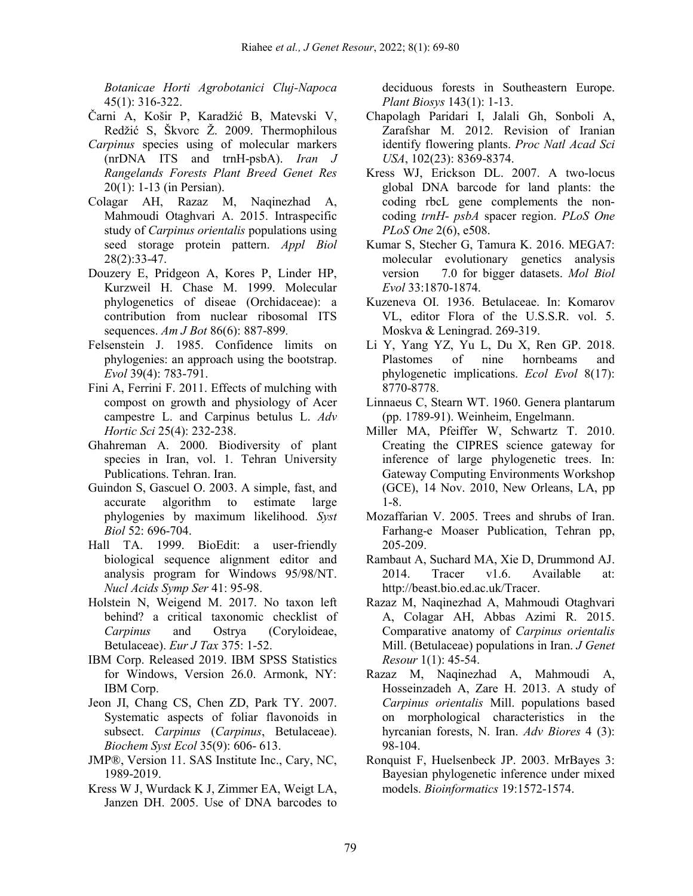*Botanicae Horti Agrobotanici Cluj-Napoca*  45(1): 316-322.

- Čarni A, Košir P, Karadžić B, Matevski V, Redžić S, Škvorc Ž. 2009. Thermophilous
- *Carpinus* species using of molecular markers (nrDNA ITS and trnH-psbA). *Iran J Rangelands Forests Plant Breed Genet Res* 20(1): 1-13 (in Persian).
- Colagar AH, Razaz M, Naqinezhad A, Mahmoudi Otaghvari A. 2015. Intraspecific study of *Carpinus orientalis* populations using seed storage protein pattern. *Appl Biol* 28(2):33-47.
- Douzery E, Pridgeon A, Kores P, Linder HP, Kurzweil H. Chase M. 1999. Molecular phylogenetics of diseae (Orchidaceae): a contribution from nuclear ribosomal ITS sequences. *Am J Bot* 86(6): 887-899.
- Felsenstein J. 1985. Confidence limits on phylogenies: an approach using the bootstrap. *Evol* 39(4): 783-791.
- Fini A, Ferrini F. 2011. Effects of mulching with compost on growth and physiology of Acer campestre L. and Carpinus betulus L. *Adv Hortic Sci* 25(4): 232-238.
- Ghahreman A. 2000. Biodiversity of plant species in Iran, vol. 1. Tehran University Publications. Tehran. Iran.
- Guindon S, Gascuel O. 2003. A simple, fast, and accurate algorithm to estimate large phylogenies by maximum likelihood. *Syst Biol* 52: 696-704.
- Hall TA. 1999. BioEdit: a user-friendly biological sequence alignment editor and analysis program for Windows 95/98/NT. *Nucl Acids Symp Ser* 41: 95-98.
- Holstein N, Weigend M. 2017. No taxon left behind? a critical taxonomic checklist of *Carpinus* and Ostrya (Coryloideae, Betulaceae). *Eur J Tax* 375: 1-52.
- IBM Corp. Released 2019. IBM SPSS Statistics for Windows, Version 26.0. Armonk, NY: IBM Corp.
- Jeon JI, Chang CS, Chen ZD, Park TY. 2007. Systematic aspects of foliar flavonoids in subsect. *Carpinus* (*Carpinus*, Betulaceae). *Biochem Syst Ecol* 35(9): 606- 613.
- JMP®, Version 11. SAS Institute Inc., Cary, NC, 1989-2019.
- Kress W J, Wurdack K J, Zimmer EA, Weigt LA, Janzen DH. 2005. Use of DNA barcodes to

deciduous forests in Southeastern Europe. *Plant Biosys* 143(1): 1-13.

- Chapolagh Paridari I, Jalali Gh, Sonboli A, Zarafshar M. 2012. Revision of Iranian identify flowering plants. *Proc Natl Acad Sci USA*, 102(23): 8369-8374.
- Kress WJ, Erickson DL. 2007. A two-locus global DNA barcode for land plants: the coding rbcL gene complements the noncoding *trnH*- *psbA* spacer region. *PLoS One PLoS One* 2(6), e508.
- Kumar S, Stecher G, Tamura K. 2016. MEGA7: molecular evolutionary genetics analysis version 7.0 for bigger datasets. *Mol Biol Evol* 33:1870-1874.
- Kuzeneva OI. 1936. Betulaceae. In: Komarov VL, editor Flora of the U.S.S.R. vol. 5. Moskva & Leningrad. 269-319.
- Li Y, Yang YZ, Yu L, Du X, Ren GP. 2018. Plastomes of nine hornbeams and phylogenetic implications. *Ecol Evol* 8(17): 8770-8778.
- Linnaeus C, Stearn WT. 1960. Genera plantarum (pp. 1789-91). Weinheim, Engelmann.
- Miller MA, Pfeiffer W, Schwartz T. 2010. Creating the CIPRES science gateway for inference of large phylogenetic trees. In: Gateway Computing Environments Workshop (GCE), 14 Nov. 2010, New Orleans, LA, pp 1-8.
- Mozaffarian V. 2005. Trees and shrubs of Iran. Farhang-e Moaser Publication, Tehran pp, 205-209.
- Rambaut A, Suchard MA, Xie D, Drummond AJ. 2014. Tracer v1.6. Available at: http://beast.bio.ed.ac.uk/Tracer.
- Razaz M, Naqinezhad A, Mahmoudi Otaghvari A, Colagar AH, Abbas Azimi R. 2015. Comparative anatomy of *Carpinus orientalis*  Mill. (Betulaceae) populations in Iran. *J Genet Resour* 1(1): 45-54.
- Razaz M, Naqinezhad A, Mahmoudi A, Hosseinzadeh A, Zare H. 2013. A study of *Carpinus orientalis* Mill. populations based on morphological characteristics in the hyrcanian forests, N. Iran. *Adv Biores* 4 (3): 98-104.
- Ronquist F, Huelsenbeck JP. 2003. MrBayes 3: Bayesian phylogenetic inference under mixed models. *Bioinformatics* 19:1572-1574.